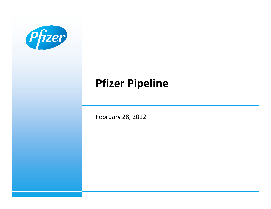

# **Pfizer Pipeline**

February 28, 2012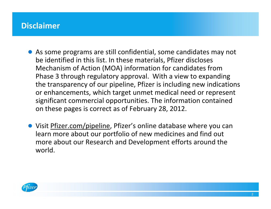#### **Disclaimer**

- As some programs are still confidential, some candidates may not be identified in this list. In these materials, Pfizer discloses Mechanism of Action (MOA) information for candidates from Phase 3 through regulatory approval. With a view to expanding the transparency of our pipeline, Pfizer is including new indications or enhancements, which target unmet medical need or represent significant commercial opportunities. The information contained on these pages is correct as of February 28, 2012.
- Visit Pfizer.com/pipeline, Pfizer's online database where you can learn more about our portfolio of new medicines and find out more about our Research and Development efforts around the world.

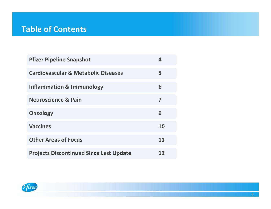#### **Table of Contents**

| <b>Pfizer Pipeline Snapshot</b>                | Δ. |
|------------------------------------------------|----|
| <b>Cardiovascular &amp; Metabolic Diseases</b> | 5  |
| <b>Inflammation &amp; Immunology</b>           | 6  |
| <b>Neuroscience &amp; Pain</b>                 | 7  |
| <b>Oncology</b>                                | 9  |
| <b>Vaccines</b>                                | 10 |
| <b>Other Areas of Focus</b>                    | 11 |
| <b>Projects Discontinued Since Last Update</b> | 12 |

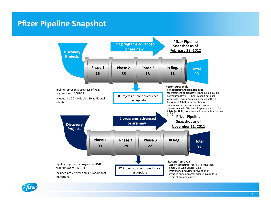#### **Pfizer Pipeline Snapshot**



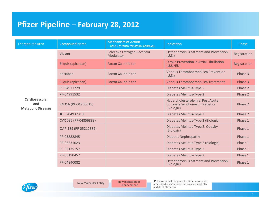## **Pfizer Pipeline – February 28, 2012**

| <b>Therapeutic Area</b>                            | <b>Compound Name</b>  | <b>Mechanism of Action</b><br>(Phase 3 through regulatory approval) | Indication                                                                              | Phase        |
|----------------------------------------------------|-----------------------|---------------------------------------------------------------------|-----------------------------------------------------------------------------------------|--------------|
|                                                    | Viviant               | Selective Estrogen Receptor<br>Modulator                            | <b>Osteoporosis Treatment and Prevention</b><br>(U.S.)                                  | Registration |
|                                                    | Eliquis (apixaban)    | <b>Factor Xa Inhibitor</b>                                          | <b>Stroke Prevention in Atrial Fibrillation</b><br>(U.S./EU)                            | Registration |
|                                                    | apixaban              | <b>Factor Xa Inhibitor</b>                                          | <b>Venous Thromboembolism Prevention</b><br>(U.S.)                                      | Phase 3      |
|                                                    | Eliquis (apixaban)    | <b>Factor Xa Inhibitor</b>                                          | <b>Venous Thromboembolism Treatment</b>                                                 | Phase 3      |
|                                                    | PF-04971729           |                                                                     | Diabetes Mellitus-Type 2                                                                | Phase 2      |
|                                                    | PF-04991532           |                                                                     | Diabetes Mellitus-Type 2                                                                | Phase 2      |
| Cardiovascular<br>and<br><b>Metabolic Diseases</b> | RN316 (PF-04950615)   |                                                                     | Hypercholesterolemia, Post Acute<br><b>Coronary Syndrome in Diabetics</b><br>(Biologic) | Phase 2      |
|                                                    | PF-04937319           |                                                                     | Diabetes Mellitus-Type 2                                                                | Phase 2      |
|                                                    | CVX 096 (PF-04856883) |                                                                     | Diabetes Mellitus-Type 2 (Biologic)                                                     | Phase 1      |
|                                                    | OAP-189 (PF-05212389) |                                                                     | Diabetes Mellitus-Type 2, Obesity<br>(Biologic)                                         | Phase 1      |
|                                                    | PF-03882845           |                                                                     | <b>Diabetic Nephropathy</b>                                                             | Phase 1      |
|                                                    | PF-05231023           |                                                                     | Diabetes Mellitus-Type 2 (Biologic)                                                     | Phase 1      |
|                                                    | PF-05175157           |                                                                     | Diabetes Mellitus-Type 2                                                                | Phase 1      |
|                                                    | PF-05190457           |                                                                     | Diabetes Mellitus-Type 2                                                                | Phase 1      |
|                                                    | PF-04840082           |                                                                     | <b>Osteoporosis Treatment and Prevention</b><br>(Biologic)                              | Phase 1      |



New Molecular Entity New Indication or

 ►Indicates that the project is either new or has progressed in phase since the previous portfolio update of Pfizer.com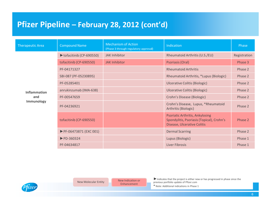| <b>Therapeutic Area</b> | <b>Compound Name</b>            | <b>Mechanism of Action</b><br>(Phase 3 through regulatory approval) | Indication                                                                                                                | Phase        |
|-------------------------|---------------------------------|---------------------------------------------------------------------|---------------------------------------------------------------------------------------------------------------------------|--------------|
|                         | tofacitinib (CP-690550)         | <b>JAK Inhibitor</b>                                                | Rheumatoid Arthritis (U.S./EU)                                                                                            | Registration |
|                         | tofacitinib (CP-690550)         | <b>JAK Inhibitor</b>                                                | Psoriasis (Oral)                                                                                                          | Phase 3      |
|                         | PF-04171327                     |                                                                     | <b>Rheumatoid Arthritis</b>                                                                                               | Phase 2      |
|                         | SBI-087 (PF-05230895)           |                                                                     | Rheumatoid Arthritis, *Lupus (Biologic)                                                                                   | Phase 2      |
|                         | PF-05285401                     |                                                                     | <b>Ulcerative Colitis (Biologic)</b>                                                                                      | Phase 2      |
| <b>Inflammation</b>     | anrukinzumab (IMA-638)          |                                                                     | Ulcerative Colitis (Biologic)                                                                                             | Phase 2      |
| and                     | PF-00547659                     |                                                                     | Crohn's Disease (Biologic)                                                                                                | Phase 2      |
| Immunology              | PF-04236921                     |                                                                     | Crohn's Disease, Lupus, *Rheumatoid<br>Arthritis (Biologic)                                                               | Phase 2      |
|                         | tofacitinib (CP-690550)         |                                                                     | <b>Psoriatic Arthritis, Ankylosing</b><br>Spondylitis, Psoriasis (Topical), Crohn's<br><b>Disease, Ulcerative Colitis</b> | Phase 2      |
|                         | PF-06473871 (EXC 001)           |                                                                     | <b>Dermal Scarring</b>                                                                                                    | Phase 2      |
|                         | $\blacktriangleright$ PD-360324 |                                                                     | Lupus (Biologic)                                                                                                          | Phase 1      |
|                         | PF-04634817                     |                                                                     | Liver Fibrosis                                                                                                            | Phase 1      |



New Molecular Entity New Indication or

►Indicates that the project is either new or has progressed in phase since the previous portfolio update of Pfizer.com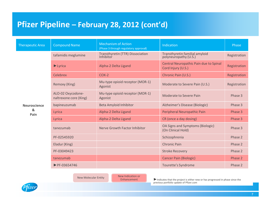| <b>Therapeutic Area</b> | <b>Compound Name</b>                        | <b>Mechanism of Action</b><br>(Phase 3 through regulatory approval) | Indication                                                   | Phase        |
|-------------------------|---------------------------------------------|---------------------------------------------------------------------|--------------------------------------------------------------|--------------|
|                         | tafamidis meglumine                         | <b>Transthyretin (TTR) Dissociation</b><br>Inhibitor                | Transthyretin familial amyloid<br>polyneuropathy (U.S.)      | Registration |
|                         | $\blacktriangleright$ Lyrica                | Alpha-2 Delta Ligand                                                | Central Neuropathic Pain due to Spinal<br>Cord Injury (U.S.) | Registration |
|                         | <b>Celebrex</b>                             | $COX-2$                                                             | Chronic Pain (U.S.)                                          | Registration |
|                         | Remoxy (King)                               | Mu-type opioid receptor (MOR-1)<br>Agonist                          | Moderate to Severe Pain (U.S.)                               | Registration |
|                         | ALO-02 Oxycodone-<br>naltrexone core (King) | Mu-type opioid receptor (MOR-1)<br>Agonist                          | <b>Moderate to Severe Pain</b>                               | Phase 3      |
| <b>Neuroscience</b>     | bapineuzumab                                | Beta Amyloid Inhibitor                                              | Alzheimer's Disease (Biologic)                               | Phase 3      |
| &<br>Pain               | Lyrica                                      | Alpha-2 Delta Ligand                                                | Peripheral Neuropathic Pain                                  | Phase 3      |
|                         | Lyrica                                      | Alpha-2 Delta Ligand                                                | CR (once a day dosing)                                       | Phase 3      |
|                         | tanezumab                                   | Nerve Growth Factor Inhibitor                                       | OA Signs and Symptoms (Biologic)<br>(On Clinical Hold)       | Phase 3      |
|                         | PF-02545920                                 |                                                                     | Schizophrenia                                                | Phase 2      |
|                         | Eladur (King)                               |                                                                     | <b>Chronic Pain</b>                                          | Phase 2      |
|                         | PF-03049423                                 |                                                                     | <b>Stroke Recovery</b>                                       | Phase 2      |
|                         | tanezumab                                   |                                                                     | <b>Cancer Pain (Biologic)</b>                                | Phase 2      |
|                         | $\blacktriangleright$ PF-03654746           |                                                                     | Tourette's Syndrome                                          | Phase 2      |

New Molecular Entity New Indication or

Enhancement

►Indicates that the project is either new or has progressed in phase since the previous portfolio update of Pfizer.com

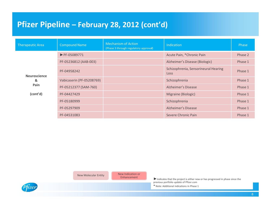| <b>Therapeutic Area</b>          | <b>Compound Name</b>              | <b>Mechanism of Action</b><br>(Phase 3 through regulatory approval) | Indication                                          | Phase   |
|----------------------------------|-----------------------------------|---------------------------------------------------------------------|-----------------------------------------------------|---------|
|                                  | $\blacktriangleright$ PF-05089771 |                                                                     | Acute Pain, *Chronic Pain                           | Phase 2 |
|                                  | PF-05236812 (AAB-003)             |                                                                     | Alzheimer's Disease (Biologic)                      | Phase 1 |
| <b>Neuroscience</b><br>&<br>Pain | PF-04958242                       |                                                                     | Schizophrenia, Sensorineural Hearing<br><b>Loss</b> | Phase 1 |
|                                  | Vabicaserin (PF-05208769)         |                                                                     | Schizophrenia                                       | Phase 1 |
|                                  | PF-05212377 (SAM-760)             |                                                                     | Alzheimer's Disease                                 | Phase 1 |
| (cont'd)                         | PF-04427429                       |                                                                     | Migraine (Biologic)                                 | Phase 1 |
|                                  | PF-05180999                       |                                                                     | Schizophrenia                                       | Phase 1 |
|                                  | PF-05297909                       |                                                                     | Alzheimer's Disease                                 | Phase 1 |
|                                  | PF-04531083                       |                                                                     | Severe Chronic Pain                                 | Phase 1 |

New Molecular Entity New Indication or

Enhancement

►Indicates that the project is either new or has progressed in phase since the previous portfolio update of Pfizer.com

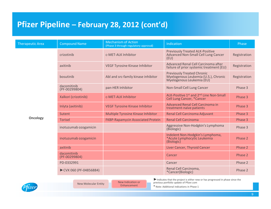| <b>Therapeutic Area</b> | <b>Compound Name</b>         | <b>Mechanism of Action</b><br>(Phase 3 through regulatory approval) | Indication                                                                                             | Phase        |
|-------------------------|------------------------------|---------------------------------------------------------------------|--------------------------------------------------------------------------------------------------------|--------------|
|                         | crizotinib                   | c-MET-ALK Inhibitor                                                 | <b>Previously Treated ALK-Positive</b><br>Advanced Non-Small Cell Lung Cancer<br>(EU)                  | Registration |
|                         | axitinib                     | <b>VEGF Tyrosine Kinase Inhibitor</b>                               | Advanced Renal Cell Carcinoma after<br>failure of prior systemic treatment (EU)                        | Registration |
|                         | bosutinib                    | Abl and src-family kinase inhibitor                                 | <b>Previously Treated Chronic</b><br>Myelogenous Leukemia (U.S.), Chronic<br>Myelogenous Leukemia (EU) | Registration |
|                         | dacomitinib<br>(PF-00299804) | pan-HER Inhibitor                                                   | Non-Small Cell Lung Cancer                                                                             | Phase 3      |
|                         | Xalkori (crizotinib)         | c-MET-ALK Inhibitor                                                 | ALK-Positive 1st and 2 <sup>nd</sup> Line Non-Small<br><b>Cell Lung Cancer, *Cancer</b>                | Phase 3      |
| <b>Oncology</b>         | Inlyta (axitinib)            | <b>VEGF Tyrosine Kinase Inhibitor</b>                               | Advanced Renal Cell Carcinoma in<br>treatment-naïve patients                                           | Phase 3      |
|                         | Sutent                       | Multiple Tyrosine Kinase Inhibitor                                  | Renal Cell Carcinoma Adjuvant                                                                          | Phase 3      |
|                         | <b>Torisel</b>               | <b>FKBP-Rapamycin Associated Protein</b>                            | <b>Renal Cell Carcinoma</b>                                                                            | Phase 3      |
|                         | inotuzumab ozogamicin        |                                                                     | Aggressive Non-Hodgkin's Lymphoma<br>(Biologic)                                                        | Phase 3      |
|                         | inotuzumab ozogamicin        |                                                                     | Indolent Non-Hodgkin's Lymphoma,<br>*Acute Lymphocytic Leukemia<br>(Biologic)                          | Phase 2      |
|                         | axitinib                     |                                                                     | Liver Cancer, Thyroid Cancer                                                                           | Phase 2      |
|                         | dacomitinib<br>(PF-00299804) |                                                                     | Cancer                                                                                                 | Phase 2      |
|                         | PD-0332991                   |                                                                     | Cancer                                                                                                 | Phase 2      |
|                         | ► CVX 060 (PF-04856884)      |                                                                     | Renal Cell Carcinoma,<br>*Cancer(Biologic)                                                             | Phase 2      |



New Molecular Entity New Indication or Enhancement

►Indicates that the project is either new or has progressed in phase since the previous portfolio update of Pfizer.com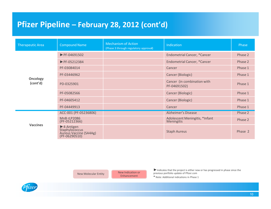| <b>Therapeutic Area</b>     | <b>Compound Name</b>                                                                         | <b>Mechanism of Action</b><br>(Phase 3 through regulatory approval) | <b>Indication</b>                            | Phase   |
|-----------------------------|----------------------------------------------------------------------------------------------|---------------------------------------------------------------------|----------------------------------------------|---------|
|                             | $\blacktriangleright$ PF-04691502                                                            |                                                                     | <b>Endometrial Cancer, *Cancer</b>           | Phase 2 |
|                             | $\blacktriangleright$ PF-05212384                                                            |                                                                     | <b>Endometrial Cancer, *Cancer</b>           | Phase 2 |
|                             | PF-03084014                                                                                  |                                                                     | Cancer                                       | Phase 1 |
|                             | PF-03446962                                                                                  |                                                                     | Cancer (Biologic)                            | Phase 1 |
| <b>Oncology</b><br>(cont'd) | PD-0325901                                                                                   |                                                                     | Cancer (in combination with<br>PF-04691502)  | Phase 1 |
|                             | PF-05082566                                                                                  |                                                                     | Cancer (Biologic)                            | Phase 1 |
|                             | PF-04605412                                                                                  |                                                                     | Cancer (Biologic)                            | Phase 1 |
|                             | PF-04449913                                                                                  |                                                                     | Cancer                                       | Phase 1 |
|                             | ACC-001 (PF-05236806)                                                                        |                                                                     | Alzheimer's Disease                          | Phase 2 |
| <b>Vaccines</b>             | MnB rLP2086<br>(PF-05212366)                                                                 |                                                                     | Adolescent Meningitis, *Infant<br>Meningitis | Phase 2 |
|                             | $\blacktriangleright$ 4-Antigen<br>Staphylococcus<br>Aureus Vaccine (SA4Ag)<br>(PF-06290510) |                                                                     | <b>Staph Aureus</b>                          | Phase 2 |

New Molecular Entity New Indication or

Enhancement

►Indicates that the project is either new or has progressed in phase since the previous portfolio update of Pfizer.com

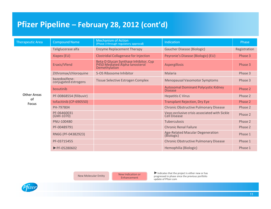| <b>Therapeutic Area</b>         | <b>Compound Name</b>                  | <b>Mechanism of Action</b><br>(Phase 3 through regulatory approval)                   | Indication                                                          | Phase        |
|---------------------------------|---------------------------------------|---------------------------------------------------------------------------------------|---------------------------------------------------------------------|--------------|
|                                 | Taliglucerase alfa                    | <b>Enzyme Replacement Therapy</b>                                                     | <b>Gaucher Disease (Biologic)</b>                                   | Registration |
|                                 | Xiapex (EU)                           | <b>Clostridial Collagenase for Injection</b>                                          | Peyronie's Disease (Biologic) (EU)                                  | Phase 3      |
|                                 | Eraxis/Vfend                          | Beta-D Glucan Synthase Inhibitor, Cyp P450 Mediated Alpha-lanosterol<br>Demethylation | Aspergillosis                                                       | Phase 3      |
|                                 | Zithromax/chloroquine                 | 5-OS Ribosome Inhibitor                                                               | <b>Malaria</b>                                                      | Phase 3      |
|                                 | bazedoxifene-<br>conjugated estrogens | <b>Tissue Selective Estrogen Complex</b>                                              | <b>Menopausal Vasomotor Symptoms</b>                                | Phase 3      |
|                                 | bosutinib                             |                                                                                       | <b>Autosomal Dominant Polycystic Kidney</b><br><b>Disease</b>       | Phase 2      |
| <b>Other Areas</b><br><b>of</b> | PF-00868554 (filibuvir)               |                                                                                       | <b>Hepatitis C Virus</b>                                            | Phase 2      |
| <b>Focus</b>                    | tofacitinib (CP-690550)               |                                                                                       | <b>Transplant Rejection, Dry Eye</b>                                | Phase 2      |
|                                 | PH-797804                             |                                                                                       | <b>Chronic Obstructive Pulmonary Disease</b>                        | Phase 2      |
|                                 | PF-06460031<br>(GMI-1070)             |                                                                                       | Vaso-occlusive crisis associated with Sickle<br><b>Cell Disease</b> | Phase 2      |
|                                 | PNU-100480                            |                                                                                       | <b>Tuberculosis</b>                                                 | Phase 2      |
|                                 | PF-00489791                           |                                                                                       | <b>Chronic Renal Failure</b>                                        | Phase 2      |
|                                 | RN6G (PF-04382923)                    |                                                                                       | <b>Age-Related Macular Degeneration</b><br>(Biologic)               | Phase 1      |
|                                 | PF-03715455                           |                                                                                       | <b>Chronic Obstructive Pulmonary Disease</b>                        | Phase 1      |
|                                 | $\blacktriangleright$ PF-05280602     |                                                                                       | Hemophilia (Biologic)                                               | Phase 1      |

New Molecular Entity New Indication or Enhancement

►Indicates that the project is either new or has progressed in phase since the previous portfolio update of Pfizer.com